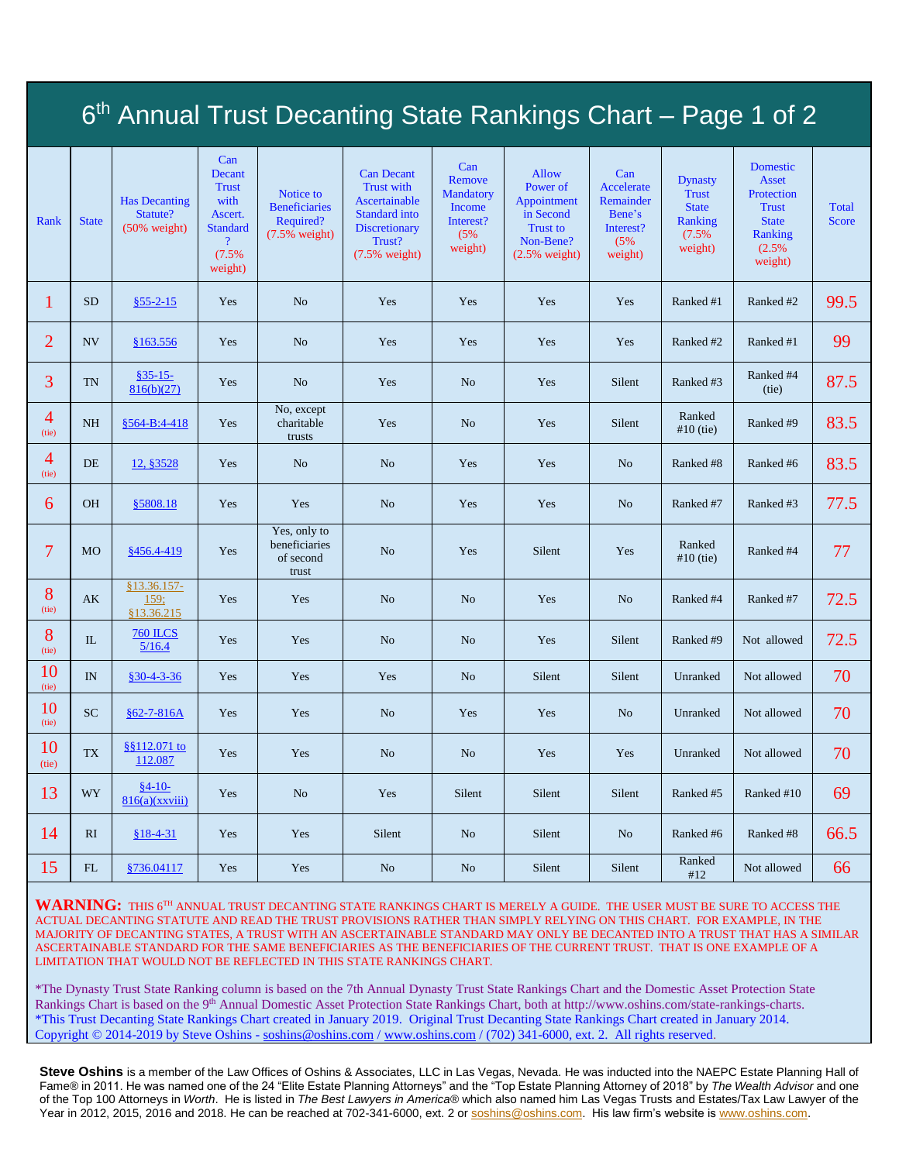| 6 <sup>th</sup> Annual Trust Decanting State Rankings Chart – Page 1 of 2 |                          |                                                             |                                                                                                           |                                                                    |                                                                                                                         |                                                                                   |                                                                                                          |                                                                         |                                                                               |                                                                                                       |                              |
|---------------------------------------------------------------------------|--------------------------|-------------------------------------------------------------|-----------------------------------------------------------------------------------------------------------|--------------------------------------------------------------------|-------------------------------------------------------------------------------------------------------------------------|-----------------------------------------------------------------------------------|----------------------------------------------------------------------------------------------------------|-------------------------------------------------------------------------|-------------------------------------------------------------------------------|-------------------------------------------------------------------------------------------------------|------------------------------|
| Rank                                                                      | <b>State</b>             | <b>Has Decanting</b><br>Statute?<br>$(50\% \text{ weight})$ | Can<br>Decant<br><b>Trust</b><br>with<br>Ascert.<br><b>Standard</b><br>$\overline{?}$<br>(7.5%<br>weight) | Notice to<br><b>Beneficiaries</b><br>Required?<br>$(7.5\%$ weight) | <b>Can Decant</b><br><b>Trust with</b><br>Ascertainable<br>Standard into<br>Discretionary<br>Trust?<br>$(7.5\%$ weight) | Can<br>Remove<br><b>Mandatory</b><br><b>Income</b><br>Interest?<br>(5%<br>weight) | <b>Allow</b><br>Power of<br>Appointment<br>in Second<br><b>Trust to</b><br>Non-Bene?<br>$(2.5\%$ weight) | Can<br>Accelerate<br>Remainder<br>Bene's<br>Interest?<br>(5%<br>weight) | <b>Dynasty</b><br><b>Trust</b><br><b>State</b><br>Ranking<br>(7.5%<br>weight) | Domestic<br><b>Asset</b><br>Protection<br><b>Trust</b><br><b>State</b><br>Ranking<br>(2.5%<br>weight) | <b>Total</b><br><b>Score</b> |
| 1                                                                         | <b>SD</b>                | $§55 - 2 - 15$                                              | Yes                                                                                                       | N <sub>o</sub>                                                     | Yes                                                                                                                     | Yes                                                                               | Yes                                                                                                      | Yes                                                                     | Ranked #1                                                                     | Ranked #2                                                                                             | 99.5                         |
| $\overline{2}$                                                            | NV                       | §163.556                                                    | Yes                                                                                                       | No                                                                 | Yes                                                                                                                     | Yes                                                                               | Yes                                                                                                      | Yes                                                                     | Ranked #2                                                                     | Ranked #1                                                                                             | 99                           |
| 3                                                                         | <b>TN</b>                | $§35-15-$<br>816(b)(27)                                     | Yes                                                                                                       | N <sub>o</sub>                                                     | Yes                                                                                                                     | N <sub>o</sub>                                                                    | Yes                                                                                                      | Silent                                                                  | Ranked #3                                                                     | Ranked #4<br>(tie)                                                                                    | 87.5                         |
| $\overline{4}$<br>(tie)                                                   | <b>NH</b>                | §564-B:4-418                                                | Yes                                                                                                       | No, except<br>charitable<br>trusts                                 | Yes                                                                                                                     | No                                                                                | Yes                                                                                                      | Silent                                                                  | Ranked<br>$#10$ (tie)                                                         | Ranked #9                                                                                             | 83.5                         |
| 4<br>(tie)                                                                | DE                       | 12, §3528                                                   | Yes                                                                                                       | No                                                                 | No                                                                                                                      | Yes                                                                               | Yes                                                                                                      | N <sub>o</sub>                                                          | Ranked #8                                                                     | Ranked #6                                                                                             | 83.5                         |
| 6                                                                         | <b>OH</b>                | §5808.18                                                    | Yes                                                                                                       | Yes                                                                | N <sub>o</sub>                                                                                                          | Yes                                                                               | Yes                                                                                                      | N <sub>o</sub>                                                          | Ranked #7                                                                     | Ranked #3                                                                                             | 77.5                         |
| 7                                                                         | <b>MO</b>                | §456.4-419                                                  | Yes                                                                                                       | Yes, only to<br>beneficiaries<br>of second<br>trust                | N <sub>o</sub>                                                                                                          | Yes                                                                               | Silent                                                                                                   | Yes                                                                     | Ranked<br>$#10$ (tie)                                                         | Ranked #4                                                                                             | 77                           |
| 8<br>(tie)                                                                | AK                       | 813.36.157-<br>159;<br>§13.36.215                           | Yes                                                                                                       | Yes                                                                | N <sub>o</sub>                                                                                                          | No                                                                                | Yes                                                                                                      | N <sub>o</sub>                                                          | Ranked #4                                                                     | Ranked #7                                                                                             | 72.5                         |
| 8<br>(tie)                                                                | $\rm IL$                 | <b>760 ILCS</b><br>5/16.4                                   | Yes                                                                                                       | Yes                                                                | No                                                                                                                      | N <sub>o</sub>                                                                    | Yes                                                                                                      | Silent                                                                  | Ranked #9                                                                     | Not allowed                                                                                           | 72.5                         |
| 10<br>(tie)                                                               | IN                       | $$30-4-3-36$                                                | Yes                                                                                                       | Yes                                                                | Yes                                                                                                                     | N <sub>o</sub>                                                                    | Silent                                                                                                   | Silent                                                                  | Unranked                                                                      | Not allowed                                                                                           | 70                           |
| 10<br>(tie)                                                               | <b>SC</b>                | $§62 - 7 - 816A$                                            | Yes                                                                                                       | Yes                                                                | N <sub>o</sub>                                                                                                          | Yes                                                                               | Yes                                                                                                      | N <sub>o</sub>                                                          | Unranked                                                                      | Not allowed                                                                                           | 70                           |
| 10<br>(tie)                                                               | $\mathcal{T}\mathcal{X}$ | \$8112.071 to<br>112.087                                    | Yes                                                                                                       | Yes                                                                | N <sub>o</sub>                                                                                                          | N <sub>o</sub>                                                                    | Yes                                                                                                      | Yes                                                                     | Unranked                                                                      | Not allowed                                                                                           | 70                           |
| 13                                                                        | WY                       | $§4-10-$<br>816(a)(xxviii)                                  | Yes                                                                                                       | N <sub>o</sub>                                                     | Yes                                                                                                                     | Silent                                                                            | Silent                                                                                                   | Silent                                                                  | Ranked #5                                                                     | Ranked #10                                                                                            | 69                           |
| 14                                                                        | RI.                      | $$18-4-31$                                                  | Yes                                                                                                       | Yes                                                                | Silent                                                                                                                  | N <sub>o</sub>                                                                    | Silent                                                                                                   | N <sub>o</sub>                                                          | Ranked #6                                                                     | Ranked #8                                                                                             | 66.5                         |
| 15                                                                        | FL                       | §736.04117                                                  | Yes                                                                                                       | Yes                                                                | N <sub>o</sub>                                                                                                          | No                                                                                | Silent                                                                                                   | Silent                                                                  | Ranked<br>#12                                                                 | Not allowed                                                                                           | 66                           |

**WARNING:** THIS 6TH ANNUAL TRUST DECANTING STATE RANKINGS CHART IS MERELY A GUIDE. THE USER MUST BE SURE TO ACCESS THE ACTUAL DECANTING STATUTE AND READ THE TRUST PROVISIONS RATHER THAN SIMPLY RELYING ON THIS CHART. FOR EXAMPLE, IN THE MAJORITY OF DECANTING STATES, A TRUST WITH AN ASCERTAINABLE STANDARD MAY ONLY BE DECANTED INTO A TRUST THAT HAS A SIMILAR ASCERTAINABLE STANDARD FOR THE SAME BENEFICIARIES AS THE BENEFICIARIES OF THE CURRENT TRUST. THAT IS ONE EXAMPLE OF A LIMITATION THAT WOULD NOT BE REFLECTED IN THIS STATE RANKINGS CHART.

\*The Dynasty Trust State Ranking column is based on the 7th Annual Dynasty Trust State Rankings Chart and the Domestic Asset Protection State Rankings Chart is based on the 9<sup>th</sup> Annual Domestic Asset Protection State Rankings Chart, both at http://www.oshins.com/state-rankings-charts. \*This Trust Decanting State Rankings Chart created in January 2019. Original Trust Decanting State Rankings Chart created in January 2014. Copyright © 2014-2019 by Steve Oshins - [soshins@oshins.com](mailto:soshins@oshins.com) [/ www.oshins.com](http://www.oshins.com/) / (702) 341-6000, ext. 2. All rights reserved.

**Steve Oshins** is a member of the Law Offices of Oshins & Associates, LLC in Las Vegas, Nevada. He was inducted into the NAEPC Estate Planning Hall of Fame® in 2011. He was named one of the 24 "Elite Estate Planning Attorneys" and the "Top Estate Planning Attorney of 2018" by *The Wealth Advisor* and one of the Top 100 Attorneys in *Worth*. He is listed in *The Best Lawyers in America®* which also named him Las Vegas Trusts and Estates/Tax Law Lawyer of the Year in 2012, 2015, 2016 and 2018. He can be reached at 702-341-6000, ext. 2 or [soshins@oshins.com.](mailto:soshins@oshins.com) His law firm's website is [www.oshins.com.](http://www.oshins.com/)